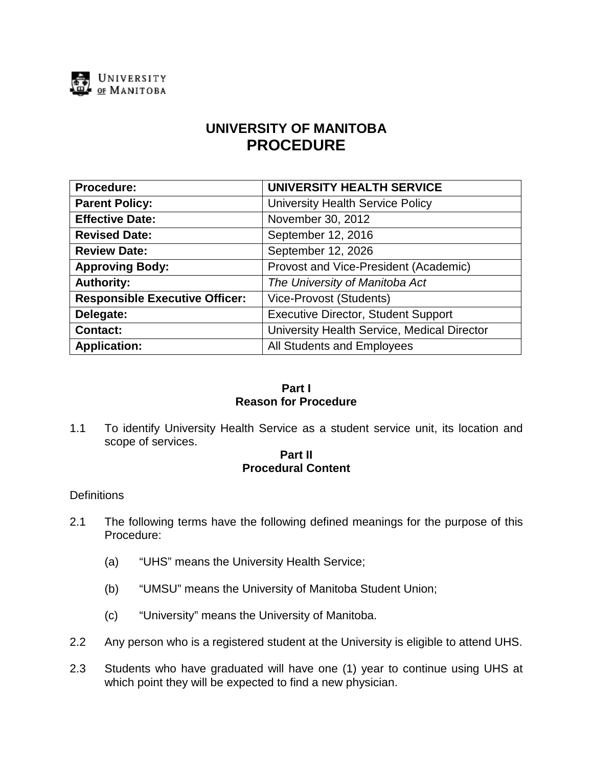

# **UNIVERSITY OF MANITOBA PROCEDURE**

| Procedure:                            | <b>UNIVERSITY HEALTH SERVICE</b>            |
|---------------------------------------|---------------------------------------------|
| <b>Parent Policy:</b>                 | <b>University Health Service Policy</b>     |
| <b>Effective Date:</b>                | November 30, 2012                           |
| <b>Revised Date:</b>                  | September 12, 2016                          |
| <b>Review Date:</b>                   | September 12, 2026                          |
| <b>Approving Body:</b>                | Provost and Vice-President (Academic)       |
| <b>Authority:</b>                     | The University of Manitoba Act              |
| <b>Responsible Executive Officer:</b> | <b>Vice-Provost (Students)</b>              |
| Delegate:                             | <b>Executive Director, Student Support</b>  |
| <b>Contact:</b>                       | University Health Service, Medical Director |
| <b>Application:</b>                   | All Students and Employees                  |

# **Part I Reason for Procedure**

1.1 To identify University Health Service as a student service unit, its location and scope of services.

## **Part II Procedural Content**

### **Definitions**

- 2.1 The following terms have the following defined meanings for the purpose of this Procedure:
	- (a) "UHS" means the University Health Service;
	- (b) "UMSU" means the University of Manitoba Student Union;
	- (c) "University" means the University of Manitoba.
- 2.2 Any person who is a registered student at the University is eligible to attend UHS.
- 2.3 Students who have graduated will have one (1) year to continue using UHS at which point they will be expected to find a new physician.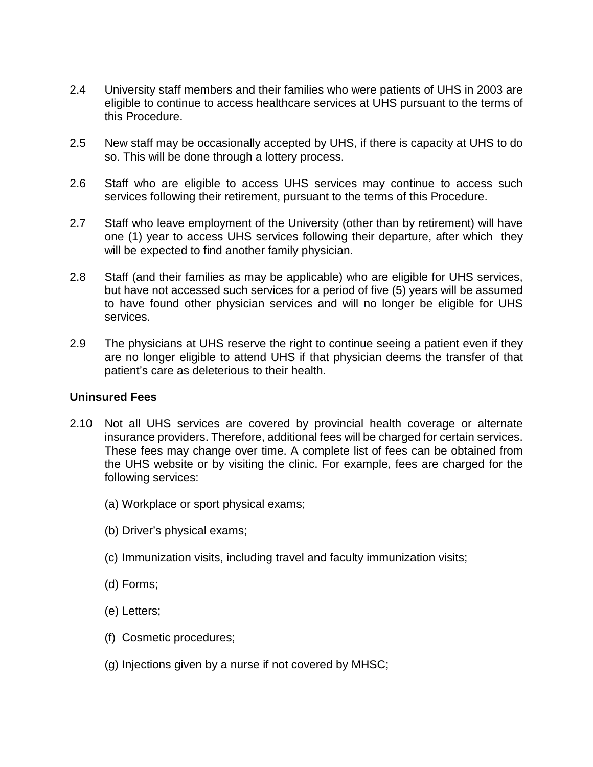- 2.4 University staff members and their families who were patients of UHS in 2003 are eligible to continue to access healthcare services at UHS pursuant to the terms of this Procedure.
- 2.5 New staff may be occasionally accepted by UHS, if there is capacity at UHS to do so. This will be done through a lottery process.
- 2.6 Staff who are eligible to access UHS services may continue to access such services following their retirement, pursuant to the terms of this Procedure.
- 2.7 Staff who leave employment of the University (other than by retirement) will have one (1) year to access UHS services following their departure, after which they will be expected to find another family physician.
- 2.8 Staff (and their families as may be applicable) who are eligible for UHS services, but have not accessed such services for a period of five (5) years will be assumed to have found other physician services and will no longer be eligible for UHS services.
- 2.9 The physicians at UHS reserve the right to continue seeing a patient even if they are no longer eligible to attend UHS if that physician deems the transfer of that patient's care as deleterious to their health.

### **Uninsured Fees**

- 2.10 Not all UHS services are covered by provincial health coverage or alternate insurance providers. Therefore, additional fees will be charged for certain services. These fees may change over time. A complete list of fees can be obtained from the UHS website or by visiting the clinic. For example, fees are charged for the following services:
	- (a) Workplace or sport physical exams;
	- (b) Driver's physical exams;
	- (c) Immunization visits, including travel and faculty immunization visits;
	- (d) Forms;
	- (e) Letters;
	- (f) Cosmetic procedures;
	- (g) Injections given by a nurse if not covered by MHSC;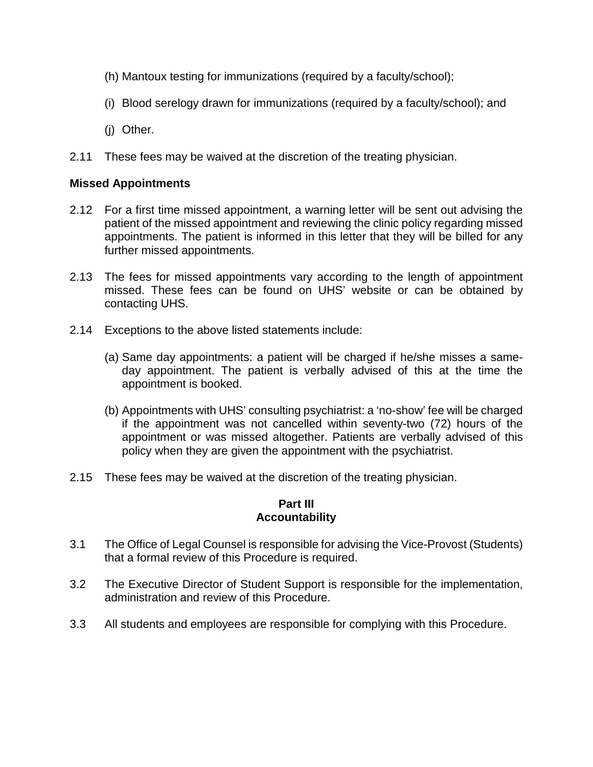- (h) Mantoux testing for immunizations (required by a faculty/school);
- (i) Blood serelogy drawn for immunizations (required by a faculty/school); and
- (j) Other.
- 2.11 These fees may be waived at the discretion of the treating physician.

## **Missed Appointments**

- 2.12 For a first time missed appointment, a warning letter will be sent out advising the patient of the missed appointment and reviewing the clinic policy regarding missed appointments. The patient is informed in this letter that they will be billed for any further missed appointments.
- 2.13 The fees for missed appointments vary according to the length of appointment missed. These fees can be found on UHS' website or can be obtained by contacting UHS.
- 2.14 Exceptions to the above listed statements include:
	- (a) Same day appointments: a patient will be charged if he/she misses a sameday appointment. The patient is verbally advised of this at the time the appointment is booked.
	- (b) Appointments with UHS' consulting psychiatrist: a 'no-show' fee will be charged if the appointment was not cancelled within seventy-two (72) hours of the appointment or was missed altogether. Patients are verbally advised of this policy when they are given the appointment with the psychiatrist.
- 2.15 These fees may be waived at the discretion of the treating physician.

#### **Part III Accountability**

- 3.1 The Office of Legal Counsel is responsible for advising the Vice-Provost (Students) that a formal review of this Procedure is required.
- 3.2 The Executive Director of Student Support is responsible for the implementation, administration and review of this Procedure.
- 3.3 All students and employees are responsible for complying with this Procedure.